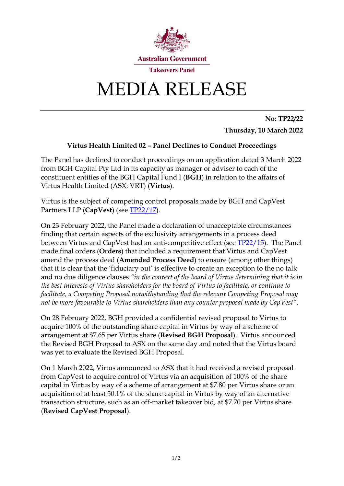

## MEDIA RELEASE

**No: TP22/22 Thursday, 10 March 2022**

## **Virtus Health Limited 02 – Panel Declines to Conduct Proceedings**

The Panel has declined to conduct proceedings on an application dated 3 March 2022 from BGH Capital Pty Ltd in its capacity as manager or adviser to each of the constituent entities of the BGH Capital Fund I (**BGH**) in relation to the affairs of Virtus Health Limited (ASX: VRT) (**Virtus**).

Virtus is the subject of competing control proposals made by BGH and CapVest Partners LLP (**CapVest**) (see [TP22/17\)](https://www.takeovers.gov.au/content/DisplayDoc.aspx?doc=media_releases/2022/017.htm&pageID=&Year=).

On 23 February 2022, the Panel made a declaration of unacceptable circumstances finding that certain aspects of the exclusivity arrangements in a process deed between Virtus and CapVest had an anti-competitive effect (see [TP22/15\)](https://www.takeovers.gov.au/content/DisplayDoc.aspx?doc=media_releases/2022/015.htm&pageID=&Year=). The Panel made final orders (**Orders**) that included a requirement that Virtus and CapVest amend the process deed (**Amended Process Deed**) to ensure (among other things) that it is clear that the 'fiduciary out' is effective to create an exception to the no talk and no due diligence clauses *"in the context of the board of Virtus determining that it is in the best interests of Virtus shareholders for the board of Virtus to facilitate, or continue to facilitate, a Competing Proposal notwithstanding that the relevant Competing Proposal may not be more favourable to Virtus shareholders than any counter proposal made by CapVest"*.

On 28 February 2022, BGH provided a confidential revised proposal to Virtus to acquire 100% of the outstanding share capital in Virtus by way of a scheme of arrangement at \$7.65 per Virtus share (**Revised BGH Proposal**). Virtus announced the Revised BGH Proposal to ASX on the same day and noted that the Virtus board was yet to evaluate the Revised BGH Proposal.

On 1 March 2022, Virtus announced to ASX that it had received a revised proposal from CapVest to acquire control of Virtus via an acquisition of 100% of the share capital in Virtus by way of a scheme of arrangement at \$7.80 per Virtus share or an acquisition of at least 50.1% of the share capital in Virtus by way of an alternative transaction structure, such as an off-market takeover bid, at \$7.70 per Virtus share (**Revised CapVest Proposal**).